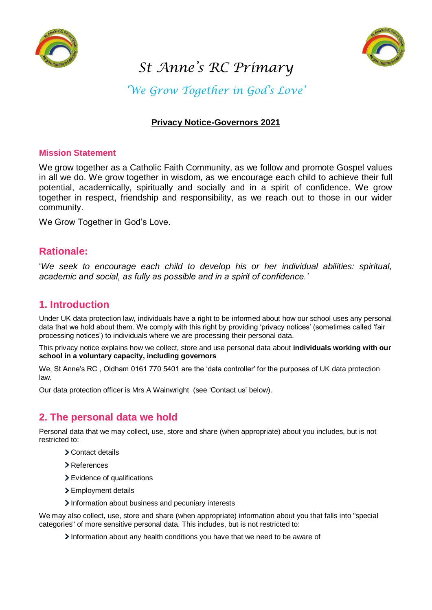



# *St Anne's RC Primary*

*'We Grow Together in God's Love'*

# **Privacy Notice-Governors 2021**

#### **Mission Statement**

We grow together as a Catholic Faith Community, as we follow and promote Gospel values in all we do. We grow together in wisdom, as we encourage each child to achieve their full potential, academically, spiritually and socially and in a spirit of confidence. We grow together in respect, friendship and responsibility, as we reach out to those in our wider community.

We Grow Together in God's Love.

# **Rationale:**

'*We seek to encourage each child to develop his or her individual abilities: spiritual, academic and social, as fully as possible and in a spirit of confidence.'*

# **1. Introduction**

Under UK data protection law, individuals have a right to be informed about how our school uses any personal data that we hold about them. We comply with this right by providing 'privacy notices' (sometimes called 'fair processing notices') to individuals where we are processing their personal data.

This privacy notice explains how we collect, store and use personal data about **individuals working with our school in a voluntary capacity, including governors**

We, St Anne's RC , Oldham 0161 770 5401 are the 'data controller' for the purposes of UK data protection law.

Our data protection officer is Mrs A Wainwright (see 'Contact us' below).

# **2. The personal data we hold**

Personal data that we may collect, use, store and share (when appropriate) about you includes, but is not restricted to:

- Contact details
- References
- > Evidence of qualifications
- > Employment details
- Information about business and pecuniary interests

We may also collect, use, store and share (when appropriate) information about you that falls into "special categories" of more sensitive personal data. This includes, but is not restricted to:

Information about any health conditions you have that we need to be aware of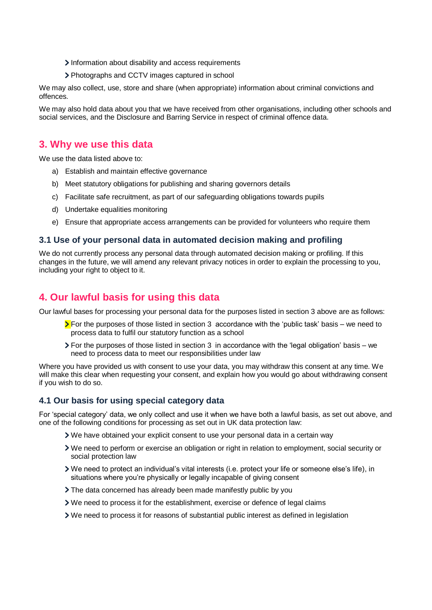- Information about disability and access requirements
- Photographs and CCTV images captured in school

We may also collect, use, store and share (when appropriate) information about criminal convictions and offences.

We may also hold data about you that we have received from other organisations, including other schools and social services, and the Disclosure and Barring Service in respect of criminal offence data.

# **3. Why we use this data**

We use the data listed above to:

- a) Establish and maintain effective governance
- b) Meet statutory obligations for publishing and sharing governors details
- c) Facilitate safe recruitment, as part of our safeguarding obligations towards pupils
- d) Undertake equalities monitoring
- e) Ensure that appropriate access arrangements can be provided for volunteers who require them

#### **3.1 Use of your personal data in automated decision making and profiling**

We do not currently process any personal data through automated decision making or profiling. If this changes in the future, we will amend any relevant privacy notices in order to explain the processing to you, including your right to object to it.

# **4. Our lawful basis for using this data**

Our lawful bases for processing your personal data for the purposes listed in section 3 above are as follows:

- $\sum$  For the purposes of those listed in section 3 accordance with the 'public task' basis we need to process data to fulfil our statutory function as a school
- $\geq$  For the purposes of those listed in section 3 in accordance with the 'legal obligation' basis we need to process data to meet our responsibilities under law

Where you have provided us with consent to use your data, you may withdraw this consent at any time. We will make this clear when requesting your consent, and explain how you would go about withdrawing consent if you wish to do so.

#### **4.1 Our basis for using special category data**

For 'special category' data, we only collect and use it when we have both a lawful basis, as set out above, and one of the following conditions for processing as set out in UK data protection law:

- We have obtained your explicit consent to use your personal data in a certain way
- We need to perform or exercise an obligation or right in relation to employment, social security or social protection law
- We need to protect an individual's vital interests (i.e. protect your life or someone else's life), in situations where you're physically or legally incapable of giving consent
- The data concerned has already been made manifestly public by you
- We need to process it for the establishment, exercise or defence of legal claims
- We need to process it for reasons of substantial public interest as defined in legislation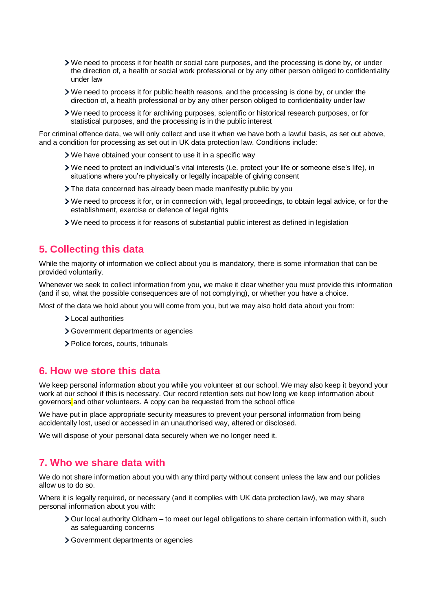- We need to process it for health or social care purposes, and the processing is done by, or under the direction of, a health or social work professional or by any other person obliged to confidentiality under law
- We need to process it for public health reasons, and the processing is done by, or under the direction of, a health professional or by any other person obliged to confidentiality under law
- We need to process it for archiving purposes, scientific or historical research purposes, or for statistical purposes, and the processing is in the public interest

For criminal offence data, we will only collect and use it when we have both a lawful basis, as set out above, and a condition for processing as set out in UK data protection law. Conditions include:

- We have obtained your consent to use it in a specific way
- We need to protect an individual's vital interests (i.e. protect your life or someone else's life), in situations where you're physically or legally incapable of giving consent
- > The data concerned has already been made manifestly public by you
- We need to process it for, or in connection with, legal proceedings, to obtain legal advice, or for the establishment, exercise or defence of legal rights
- We need to process it for reasons of substantial public interest as defined in legislation

# **5. Collecting this data**

While the majority of information we collect about you is mandatory, there is some information that can be provided voluntarily.

Whenever we seek to collect information from you, we make it clear whether you must provide this information (and if so, what the possible consequences are of not complying), or whether you have a choice.

Most of the data we hold about you will come from you, but we may also hold data about you from:

- > Local authorities
- Government departments or agencies
- > Police forces, courts, tribunals

## **6. How we store this data**

We keep personal information about you while you volunteer at our school. We may also keep it beyond your work at our school if this is necessary. Our record retention sets out how long we keep information about governors and other volunteers. A copy can be requested from the school office

We have put in place appropriate security measures to prevent your personal information from being accidentally lost, used or accessed in an unauthorised way, altered or disclosed.

We will dispose of your personal data securely when we no longer need it.

## **7. Who we share data with**

We do not share information about you with any third party without consent unless the law and our policies allow us to do so.

Where it is legally required, or necessary (and it complies with UK data protection law), we may share personal information about you with:

- Our local authority Oldham to meet our legal obligations to share certain information with it, such as safeguarding concerns
- Government departments or agencies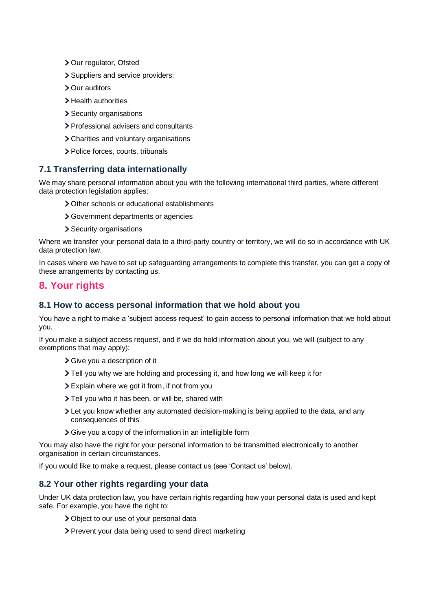- > Our regulator, Ofsted
- Suppliers and service providers:
- Our auditors
- > Health authorities
- > Security organisations
- > Professional advisers and consultants
- Charities and voluntary organisations
- > Police forces, courts, tribunals

## **7.1 Transferring data internationally**

We may share personal information about you with the following international third parties, where different data protection legislation applies:

- > Other schools or educational establishments
- Government departments or agencies
- > Security organisations

Where we transfer your personal data to a third-party country or territory, we will do so in accordance with UK data protection law.

In cases where we have to set up safeguarding arrangements to complete this transfer, you can get a copy of these arrangements by contacting us.

# **8. Your rights**

#### **8.1 How to access personal information that we hold about you**

You have a right to make a 'subject access request' to gain access to personal information that we hold about you.

If you make a subject access request, and if we do hold information about you, we will (subject to any exemptions that may apply):

- Give you a description of it
- Tell you why we are holding and processing it, and how long we will keep it for
- Explain where we got it from, if not from you
- > Tell you who it has been, or will be, shared with
- Let you know whether any automated decision-making is being applied to the data, and any consequences of this
- Give you a copy of the information in an intelligible form

You may also have the right for your personal information to be transmitted electronically to another organisation in certain circumstances.

If you would like to make a request, please contact us (see 'Contact us' below).

## **8.2 Your other rights regarding your data**

Under UK data protection law, you have certain rights regarding how your personal data is used and kept safe. For example, you have the right to:

- Object to our use of your personal data
- Prevent your data being used to send direct marketing